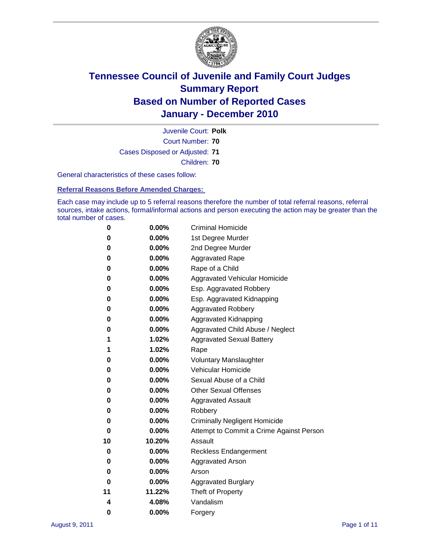

Court Number: **70** Juvenile Court: **Polk** Cases Disposed or Adjusted: **71** Children: **70**

General characteristics of these cases follow:

**Referral Reasons Before Amended Charges:** 

Each case may include up to 5 referral reasons therefore the number of total referral reasons, referral sources, intake actions, formal/informal actions and person executing the action may be greater than the total number of cases.

| 0  | 0.00%  | <b>Criminal Homicide</b>                 |  |  |  |
|----|--------|------------------------------------------|--|--|--|
| 0  | 0.00%  | 1st Degree Murder                        |  |  |  |
| 0  | 0.00%  | 2nd Degree Murder                        |  |  |  |
| 0  | 0.00%  | <b>Aggravated Rape</b>                   |  |  |  |
| 0  | 0.00%  | Rape of a Child                          |  |  |  |
| 0  | 0.00%  | Aggravated Vehicular Homicide            |  |  |  |
| 0  | 0.00%  | Esp. Aggravated Robbery                  |  |  |  |
| 0  | 0.00%  | Esp. Aggravated Kidnapping               |  |  |  |
| 0  | 0.00%  | <b>Aggravated Robbery</b>                |  |  |  |
| 0  | 0.00%  | Aggravated Kidnapping                    |  |  |  |
| 0  | 0.00%  | Aggravated Child Abuse / Neglect         |  |  |  |
| 1  | 1.02%  | <b>Aggravated Sexual Battery</b>         |  |  |  |
| 1  | 1.02%  | Rape                                     |  |  |  |
| 0  | 0.00%  | <b>Voluntary Manslaughter</b>            |  |  |  |
| 0  | 0.00%  | Vehicular Homicide                       |  |  |  |
| 0  | 0.00%  | Sexual Abuse of a Child                  |  |  |  |
| 0  | 0.00%  | <b>Other Sexual Offenses</b>             |  |  |  |
| 0  | 0.00%  | <b>Aggravated Assault</b>                |  |  |  |
| 0  | 0.00%  | Robbery                                  |  |  |  |
| 0  | 0.00%  | <b>Criminally Negligent Homicide</b>     |  |  |  |
| 0  | 0.00%  | Attempt to Commit a Crime Against Person |  |  |  |
| 10 | 10.20% | Assault                                  |  |  |  |
| 0  | 0.00%  | <b>Reckless Endangerment</b>             |  |  |  |
| 0  | 0.00%  | <b>Aggravated Arson</b>                  |  |  |  |
| 0  | 0.00%  | Arson                                    |  |  |  |
| 0  | 0.00%  | <b>Aggravated Burglary</b>               |  |  |  |
| 11 | 11.22% | Theft of Property                        |  |  |  |
| 4  | 4.08%  | Vandalism                                |  |  |  |
| 0  | 0.00%  | Forgery                                  |  |  |  |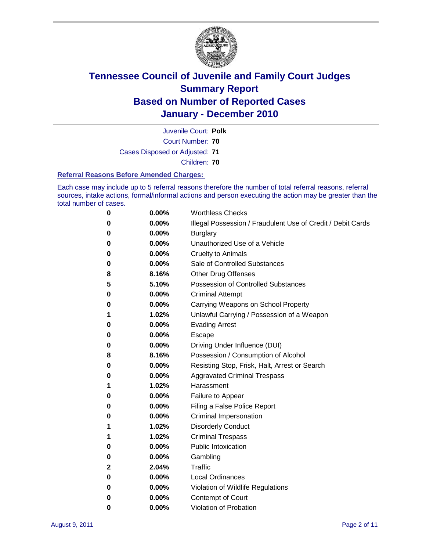

Juvenile Court: **Polk**

Court Number: **70**

Cases Disposed or Adjusted: **71**

Children: **70**

#### **Referral Reasons Before Amended Charges:**

Each case may include up to 5 referral reasons therefore the number of total referral reasons, referral sources, intake actions, formal/informal actions and person executing the action may be greater than the total number of cases.

| 0 | 0.00%    | <b>Worthless Checks</b>                                     |  |
|---|----------|-------------------------------------------------------------|--|
| 0 | 0.00%    | Illegal Possession / Fraudulent Use of Credit / Debit Cards |  |
| 0 | 0.00%    | <b>Burglary</b>                                             |  |
| 0 | $0.00\%$ | Unauthorized Use of a Vehicle                               |  |
| 0 | $0.00\%$ | <b>Cruelty to Animals</b>                                   |  |
| 0 | $0.00\%$ | Sale of Controlled Substances                               |  |
| 8 | 8.16%    | <b>Other Drug Offenses</b>                                  |  |
| 5 | 5.10%    | <b>Possession of Controlled Substances</b>                  |  |
| 0 | 0.00%    | <b>Criminal Attempt</b>                                     |  |
| 0 | 0.00%    | Carrying Weapons on School Property                         |  |
| 1 | 1.02%    | Unlawful Carrying / Possession of a Weapon                  |  |
| 0 | $0.00\%$ | <b>Evading Arrest</b>                                       |  |
| 0 | $0.00\%$ | Escape                                                      |  |
| 0 | $0.00\%$ | Driving Under Influence (DUI)                               |  |
| 8 | 8.16%    | Possession / Consumption of Alcohol                         |  |
| 0 | $0.00\%$ | Resisting Stop, Frisk, Halt, Arrest or Search               |  |
| 0 | $0.00\%$ | <b>Aggravated Criminal Trespass</b>                         |  |
| 1 | 1.02%    | Harassment                                                  |  |
| 0 | 0.00%    | Failure to Appear                                           |  |
| 0 | 0.00%    | Filing a False Police Report                                |  |
| 0 | 0.00%    | Criminal Impersonation                                      |  |
| 1 | 1.02%    | <b>Disorderly Conduct</b>                                   |  |
| 1 | 1.02%    | <b>Criminal Trespass</b>                                    |  |
| 0 | 0.00%    | <b>Public Intoxication</b>                                  |  |
| 0 | $0.00\%$ | Gambling                                                    |  |
| 2 | 2.04%    | Traffic                                                     |  |
| 0 | $0.00\%$ | <b>Local Ordinances</b>                                     |  |
| 0 | 0.00%    | Violation of Wildlife Regulations                           |  |
| 0 | $0.00\%$ | Contempt of Court                                           |  |
| 0 | 0.00%    | Violation of Probation                                      |  |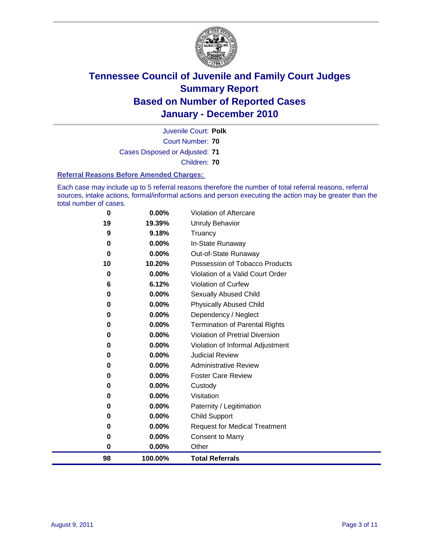

Court Number: **70** Juvenile Court: **Polk** Cases Disposed or Adjusted: **71** Children: **70**

#### **Referral Reasons Before Amended Charges:**

Each case may include up to 5 referral reasons therefore the number of total referral reasons, referral sources, intake actions, formal/informal actions and person executing the action may be greater than the total number of cases.

| 98       | 100.00%  | <b>Total Referrals</b>                 |
|----------|----------|----------------------------------------|
| $\bf{0}$ | 0.00%    | Other                                  |
| 0        | 0.00%    | <b>Consent to Marry</b>                |
| 0        | 0.00%    | <b>Request for Medical Treatment</b>   |
| $\bf{0}$ | $0.00\%$ | <b>Child Support</b>                   |
| 0        | 0.00%    | Paternity / Legitimation               |
| 0        | $0.00\%$ | Visitation                             |
| 0        | $0.00\%$ | Custody                                |
| 0        | 0.00%    | <b>Foster Care Review</b>              |
| 0        | $0.00\%$ | <b>Administrative Review</b>           |
| $\bf{0}$ | $0.00\%$ | <b>Judicial Review</b>                 |
| 0        | 0.00%    | Violation of Informal Adjustment       |
| 0        | $0.00\%$ | <b>Violation of Pretrial Diversion</b> |
| $\bf{0}$ | $0.00\%$ | Termination of Parental Rights         |
| 0        | 0.00%    | Dependency / Neglect                   |
| $\bf{0}$ | $0.00\%$ | <b>Physically Abused Child</b>         |
| 0        | 0.00%    | <b>Sexually Abused Child</b>           |
| 6        | 6.12%    | <b>Violation of Curfew</b>             |
| $\bf{0}$ | $0.00\%$ | Violation of a Valid Court Order       |
| 10       | 10.20%   | Possession of Tobacco Products         |
| $\bf{0}$ | 0.00%    | Out-of-State Runaway                   |
| $\bf{0}$ | $0.00\%$ | In-State Runaway                       |
| 9        | 9.18%    | Truancy                                |
| 19       | 19.39%   | Unruly Behavior                        |
| $\bf{0}$ | $0.00\%$ | <b>Violation of Aftercare</b>          |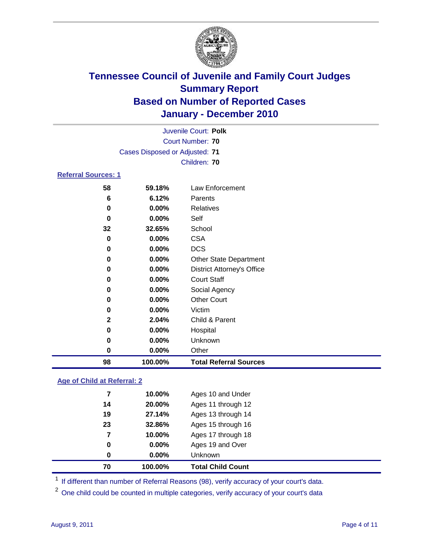

|                            |                                | Juvenile Court: Polk              |
|----------------------------|--------------------------------|-----------------------------------|
|                            |                                | Court Number: 70                  |
|                            | Cases Disposed or Adjusted: 71 |                                   |
|                            |                                | Children: 70                      |
| <b>Referral Sources: 1</b> |                                |                                   |
| 58                         | 59.18%                         | <b>Law Enforcement</b>            |
| 6                          | 6.12%                          | Parents                           |
| 0                          | $0.00\%$                       | Relatives                         |
| 0                          | $0.00\%$                       | Self                              |
| 32                         | 32.65%                         | School                            |
| 0                          | 0.00%                          | <b>CSA</b>                        |
| 0                          | 0.00%                          | <b>DCS</b>                        |
| 0                          | 0.00%                          | <b>Other State Department</b>     |
| 0                          | 0.00%                          | <b>District Attorney's Office</b> |
| 0                          | $0.00\%$                       | <b>Court Staff</b>                |
| 0                          | 0.00%                          | Social Agency                     |
| 0                          | $0.00\%$                       | <b>Other Court</b>                |
| 0                          | 0.00%                          | Victim                            |
| $\mathbf{2}$               | 2.04%                          | Child & Parent                    |
| 0                          | 0.00%                          | Hospital                          |
| 0                          | 0.00%                          | Unknown                           |
| 0                          | 0.00%                          | Other                             |

### **Age of Child at Referral: 2**

| 70 | 100.00%  | <b>Total Child Count</b> |
|----|----------|--------------------------|
| 0  | $0.00\%$ | <b>Unknown</b>           |
| 0  | $0.00\%$ | Ages 19 and Over         |
| 7  | 10.00%   | Ages 17 through 18       |
| 23 | 32.86%   | Ages 15 through 16       |
| 19 | 27.14%   | Ages 13 through 14       |
| 14 | 20.00%   | Ages 11 through 12       |
| 7  | 10.00%   | Ages 10 and Under        |
|    |          |                          |

<sup>1</sup> If different than number of Referral Reasons (98), verify accuracy of your court's data.

**100.00% Total Referral Sources**

<sup>2</sup> One child could be counted in multiple categories, verify accuracy of your court's data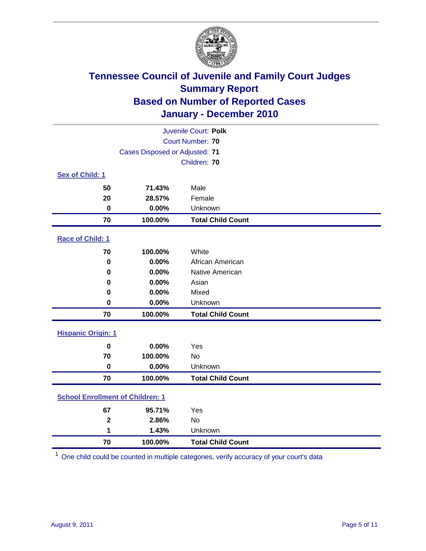

| Juvenile Court: Polk                    |                                |                          |  |  |  |
|-----------------------------------------|--------------------------------|--------------------------|--|--|--|
|                                         | Court Number: 70               |                          |  |  |  |
|                                         | Cases Disposed or Adjusted: 71 |                          |  |  |  |
|                                         |                                | Children: 70             |  |  |  |
| Sex of Child: 1                         |                                |                          |  |  |  |
| 50                                      | 71.43%                         | Male                     |  |  |  |
| 20                                      | 28.57%                         | Female                   |  |  |  |
| $\mathbf 0$                             | 0.00%                          | Unknown                  |  |  |  |
| 70                                      | 100.00%                        | <b>Total Child Count</b> |  |  |  |
| Race of Child: 1                        |                                |                          |  |  |  |
| 70                                      | 100.00%                        | White                    |  |  |  |
| $\mathbf 0$                             | 0.00%                          | African American         |  |  |  |
| $\pmb{0}$                               | 0.00%                          | Native American          |  |  |  |
| 0                                       | 0.00%                          | Asian                    |  |  |  |
| 0                                       | 0.00%                          | Mixed                    |  |  |  |
| $\mathbf 0$                             | 0.00%                          | Unknown                  |  |  |  |
| 70                                      | 100.00%                        | <b>Total Child Count</b> |  |  |  |
| <b>Hispanic Origin: 1</b>               |                                |                          |  |  |  |
| $\mathbf 0$                             | 0.00%                          | Yes                      |  |  |  |
| 70                                      | 100.00%                        | No                       |  |  |  |
| $\mathbf 0$                             | 0.00%                          | Unknown                  |  |  |  |
| 70                                      | 100.00%                        | <b>Total Child Count</b> |  |  |  |
| <b>School Enrollment of Children: 1</b> |                                |                          |  |  |  |
| 67                                      | 95.71%                         | Yes                      |  |  |  |
| $\mathbf{2}$                            | 2.86%                          | <b>No</b>                |  |  |  |
| 1                                       | 1.43%                          | Unknown                  |  |  |  |
| 70                                      | 100.00%                        | <b>Total Child Count</b> |  |  |  |

One child could be counted in multiple categories, verify accuracy of your court's data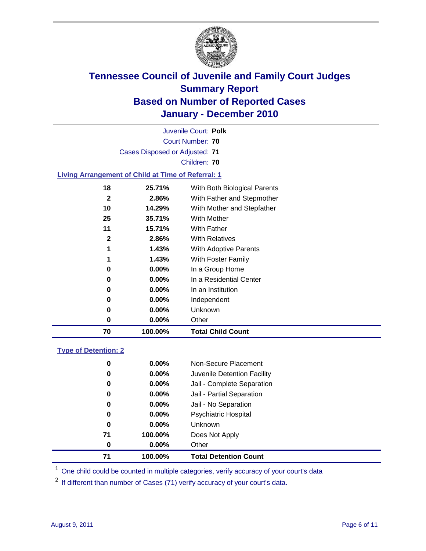

|                                                           |                                | Juvenile Court: Polk         |  |  |  |  |
|-----------------------------------------------------------|--------------------------------|------------------------------|--|--|--|--|
| Court Number: 70                                          |                                |                              |  |  |  |  |
|                                                           | Cases Disposed or Adjusted: 71 |                              |  |  |  |  |
|                                                           |                                | Children: 70                 |  |  |  |  |
| <b>Living Arrangement of Child at Time of Referral: 1</b> |                                |                              |  |  |  |  |
| 18                                                        | 25.71%                         | With Both Biological Parents |  |  |  |  |
| $\mathbf{2}$                                              | 2.86%                          | With Father and Stepmother   |  |  |  |  |
| 10                                                        | 14.29%                         | With Mother and Stepfather   |  |  |  |  |
| 25                                                        | 35.71%                         | With Mother                  |  |  |  |  |
| 11                                                        | 15.71%                         | With Father                  |  |  |  |  |
| $\mathbf{2}$                                              | 2.86%                          | <b>With Relatives</b>        |  |  |  |  |
| 1                                                         | 1.43%                          | With Adoptive Parents        |  |  |  |  |
| 1                                                         | 1.43%                          | With Foster Family           |  |  |  |  |
| 0                                                         | $0.00\%$                       | In a Group Home              |  |  |  |  |
| 0                                                         | $0.00\%$                       | In a Residential Center      |  |  |  |  |

| 70 | 100.00%  | <b>Total Child Count</b> |  |
|----|----------|--------------------------|--|
| 0  | $0.00\%$ | Other                    |  |
| 0  | $0.00\%$ | Unknown                  |  |
| 0  | $0.00\%$ | Independent              |  |
| 0  | $0.00\%$ | In an Institution        |  |

### **Type of Detention: 2**

| 71       | 100.00%  | <b>Total Detention Count</b> |
|----------|----------|------------------------------|
| 0        | $0.00\%$ | Other                        |
| 71       | 100.00%  | Does Not Apply               |
| 0        | $0.00\%$ | <b>Unknown</b>               |
| 0        | 0.00%    | <b>Psychiatric Hospital</b>  |
| $\bf{0}$ | 0.00%    | Jail - No Separation         |
| 0        | $0.00\%$ | Jail - Partial Separation    |
| 0        | $0.00\%$ | Jail - Complete Separation   |
| 0        | 0.00%    | Juvenile Detention Facility  |
| 0        | $0.00\%$ | Non-Secure Placement         |
|          |          |                              |

<sup>1</sup> One child could be counted in multiple categories, verify accuracy of your court's data

<sup>2</sup> If different than number of Cases (71) verify accuracy of your court's data.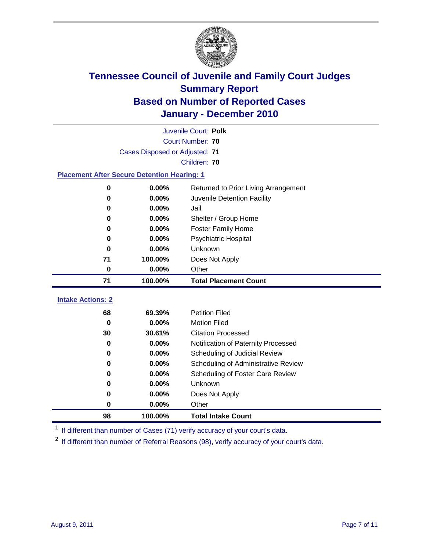

|                                                    | Juvenile Court: Polk           |                                      |  |  |  |  |
|----------------------------------------------------|--------------------------------|--------------------------------------|--|--|--|--|
|                                                    | Court Number: 70               |                                      |  |  |  |  |
|                                                    | Cases Disposed or Adjusted: 71 |                                      |  |  |  |  |
|                                                    | Children: 70                   |                                      |  |  |  |  |
| <b>Placement After Secure Detention Hearing: 1</b> |                                |                                      |  |  |  |  |
| $\bf{0}$                                           | 0.00%                          | Returned to Prior Living Arrangement |  |  |  |  |
| $\bf{0}$                                           | 0.00%                          | Juvenile Detention Facility          |  |  |  |  |
| 0                                                  | 0.00%                          | Jail                                 |  |  |  |  |
| 0                                                  | 0.00%                          | Shelter / Group Home                 |  |  |  |  |
| 0                                                  | 0.00%                          | <b>Foster Family Home</b>            |  |  |  |  |
| 0                                                  | 0.00%                          | Psychiatric Hospital                 |  |  |  |  |
| 0                                                  | 0.00%                          | Unknown                              |  |  |  |  |
| 71                                                 | 100.00%                        | Does Not Apply                       |  |  |  |  |
| $\bf{0}$                                           | 0.00%                          | Other                                |  |  |  |  |
| 71                                                 | 100.00%                        | <b>Total Placement Count</b>         |  |  |  |  |
| <b>Intake Actions: 2</b>                           |                                |                                      |  |  |  |  |
|                                                    |                                |                                      |  |  |  |  |
| 68                                                 | 69.39%                         | <b>Petition Filed</b>                |  |  |  |  |
| $\bf{0}$                                           | 0.00%                          | <b>Motion Filed</b>                  |  |  |  |  |
| 30                                                 | 30.61%                         | <b>Citation Processed</b>            |  |  |  |  |
| 0                                                  | 0.00%                          | Notification of Paternity Processed  |  |  |  |  |
| $\mathbf 0$                                        | 0.00%                          | Scheduling of Judicial Review        |  |  |  |  |
| 0                                                  | 0.00%                          | Scheduling of Administrative Review  |  |  |  |  |
| 0                                                  | 0.00%                          | Scheduling of Foster Care Review     |  |  |  |  |
| 0                                                  | 0.00%                          | Unknown                              |  |  |  |  |
| 0                                                  | 0.00%                          | Does Not Apply                       |  |  |  |  |
| $\pmb{0}$                                          | 0.00%                          | Other                                |  |  |  |  |
| 98                                                 | 100.00%                        | <b>Total Intake Count</b>            |  |  |  |  |

<sup>1</sup> If different than number of Cases (71) verify accuracy of your court's data.

<sup>2</sup> If different than number of Referral Reasons (98), verify accuracy of your court's data.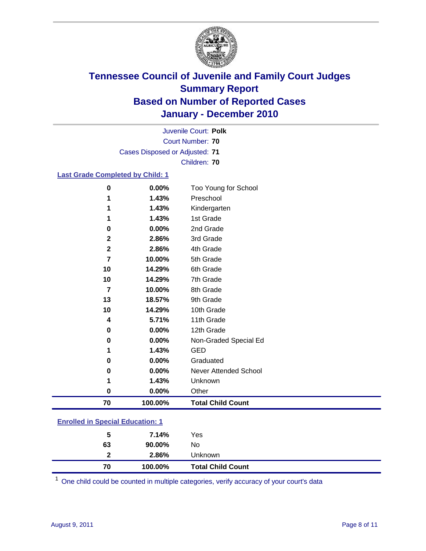

Court Number: **70** Juvenile Court: **Polk** Cases Disposed or Adjusted: **71** Children: **70**

#### **Last Grade Completed by Child: 1**

| 70             | 100.00% | <b>Total Child Count</b> |
|----------------|---------|--------------------------|
| 0              | 0.00%   | Other                    |
| 1              | 1.43%   | Unknown                  |
| 0              | 0.00%   | Never Attended School    |
| 0              | 0.00%   | Graduated                |
| 1              | 1.43%   | <b>GED</b>               |
| 0              | 0.00%   | Non-Graded Special Ed    |
| $\bf{0}$       | 0.00%   | 12th Grade               |
| 4              | 5.71%   | 11th Grade               |
| 10             | 14.29%  | 10th Grade               |
| 13             | 18.57%  | 9th Grade                |
| $\overline{7}$ | 10.00%  | 8th Grade                |
| 10             | 14.29%  | 7th Grade                |
| 10             | 14.29%  | 6th Grade                |
| 7              | 10.00%  | 5th Grade                |
| $\mathbf 2$    | 2.86%   | 4th Grade                |
| $\mathbf 2$    | 2.86%   | 3rd Grade                |
| 0              | 0.00%   | 2nd Grade                |
| 1              | 1.43%   | 1st Grade                |
| 1              | 1.43%   | Kindergarten             |
| 1              | 1.43%   | Preschool                |
| 0              | 0.00%   | Too Young for School     |

### **Enrolled in Special Education: 1**

| 5  | 7.14%     | Yes                      |
|----|-----------|--------------------------|
| 63 | $90.00\%$ | No                       |
| 2  | 2.86%     | <b>Unknown</b>           |
| 70 | 100.00%   | <b>Total Child Count</b> |

One child could be counted in multiple categories, verify accuracy of your court's data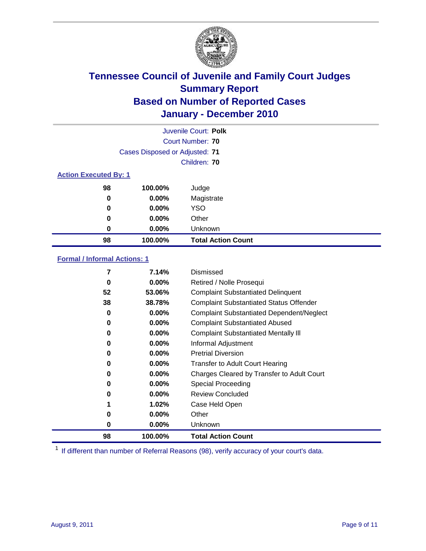

|                              |                                | Juvenile Court: Polk      |
|------------------------------|--------------------------------|---------------------------|
|                              |                                | Court Number: 70          |
|                              | Cases Disposed or Adjusted: 71 |                           |
|                              |                                | Children: 70              |
| <b>Action Executed By: 1</b> |                                |                           |
| 98                           | 100.00%                        | Judge                     |
| $\bf{0}$                     | $0.00\%$                       | Magistrate                |
| 0                            | $0.00\%$                       | <b>YSO</b>                |
| 0                            | $0.00\%$                       | Other                     |
| $\bf{0}$                     | $0.00\%$                       | Unknown                   |
| 98                           | 100.00%                        | <b>Total Action Count</b> |

### **Formal / Informal Actions: 1**

| 7  | 7.14%    | Dismissed                                        |
|----|----------|--------------------------------------------------|
| 0  | $0.00\%$ | Retired / Nolle Prosequi                         |
| 52 | 53.06%   | <b>Complaint Substantiated Delinquent</b>        |
| 38 | 38.78%   | <b>Complaint Substantiated Status Offender</b>   |
| 0  | $0.00\%$ | <b>Complaint Substantiated Dependent/Neglect</b> |
| 0  | $0.00\%$ | <b>Complaint Substantiated Abused</b>            |
| 0  | $0.00\%$ | <b>Complaint Substantiated Mentally III</b>      |
| 0  | $0.00\%$ | Informal Adjustment                              |
| 0  | $0.00\%$ | <b>Pretrial Diversion</b>                        |
| 0  | $0.00\%$ | <b>Transfer to Adult Court Hearing</b>           |
| 0  | $0.00\%$ | Charges Cleared by Transfer to Adult Court       |
| 0  | $0.00\%$ | Special Proceeding                               |
| 0  | $0.00\%$ | <b>Review Concluded</b>                          |
|    | 1.02%    | Case Held Open                                   |
| 0  | $0.00\%$ | Other                                            |
| 0  | $0.00\%$ | Unknown                                          |
| 98 | 100.00%  | <b>Total Action Count</b>                        |

<sup>1</sup> If different than number of Referral Reasons (98), verify accuracy of your court's data.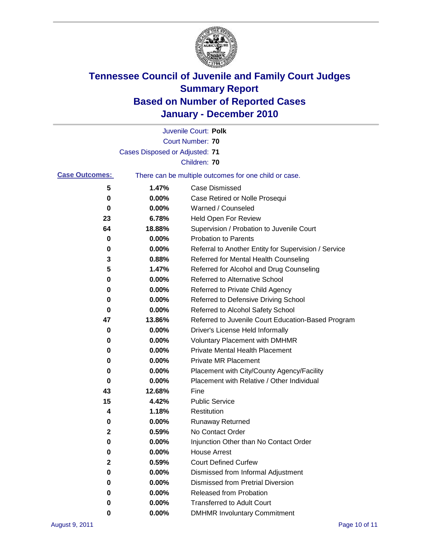

|                       |                                | Juvenile Court: Polk                                  |
|-----------------------|--------------------------------|-------------------------------------------------------|
|                       |                                | <b>Court Number: 70</b>                               |
|                       | Cases Disposed or Adjusted: 71 |                                                       |
|                       |                                | Children: 70                                          |
| <b>Case Outcomes:</b> |                                | There can be multiple outcomes for one child or case. |
| 5                     | 1.47%                          | <b>Case Dismissed</b>                                 |
| 0                     | 0.00%                          | Case Retired or Nolle Prosequi                        |
| 0                     | 0.00%                          | Warned / Counseled                                    |
| 23                    | 6.78%                          | Held Open For Review                                  |
| 64                    | 18.88%                         | Supervision / Probation to Juvenile Court             |
| 0                     | 0.00%                          | <b>Probation to Parents</b>                           |
| 0                     | 0.00%                          | Referral to Another Entity for Supervision / Service  |
| 3                     | 0.88%                          | Referred for Mental Health Counseling                 |
| 5                     | 1.47%                          | Referred for Alcohol and Drug Counseling              |
| 0                     | 0.00%                          | Referred to Alternative School                        |
| 0                     | 0.00%                          | Referred to Private Child Agency                      |
| 0                     | 0.00%                          | Referred to Defensive Driving School                  |
| 0                     | 0.00%                          | Referred to Alcohol Safety School                     |
| 47                    | 13.86%                         | Referred to Juvenile Court Education-Based Program    |
| 0                     | 0.00%                          | Driver's License Held Informally                      |
| 0                     | 0.00%                          | <b>Voluntary Placement with DMHMR</b>                 |
| 0                     | 0.00%                          | <b>Private Mental Health Placement</b>                |
| 0                     | 0.00%                          | <b>Private MR Placement</b>                           |
| 0                     | 0.00%                          | Placement with City/County Agency/Facility            |
| 0                     | 0.00%                          | Placement with Relative / Other Individual            |
| 43                    | 12.68%                         | Fine                                                  |
| 15                    | 4.42%                          | <b>Public Service</b>                                 |
| 4                     | 1.18%                          | Restitution                                           |
| 0                     | 0.00%                          | <b>Runaway Returned</b>                               |
| 2                     | 0.59%                          | No Contact Order                                      |
| 0                     | 0.00%                          | Injunction Other than No Contact Order                |
| 0                     | 0.00%                          | <b>House Arrest</b>                                   |
| $\mathbf{2}$          | 0.59%                          | <b>Court Defined Curfew</b>                           |
| 0                     | 0.00%                          | Dismissed from Informal Adjustment                    |
| 0                     | 0.00%                          | <b>Dismissed from Pretrial Diversion</b>              |
| 0                     | 0.00%                          | <b>Released from Probation</b>                        |
| 0                     | $0.00\%$                       | <b>Transferred to Adult Court</b>                     |
| 0                     | $0.00\%$                       | <b>DMHMR Involuntary Commitment</b>                   |